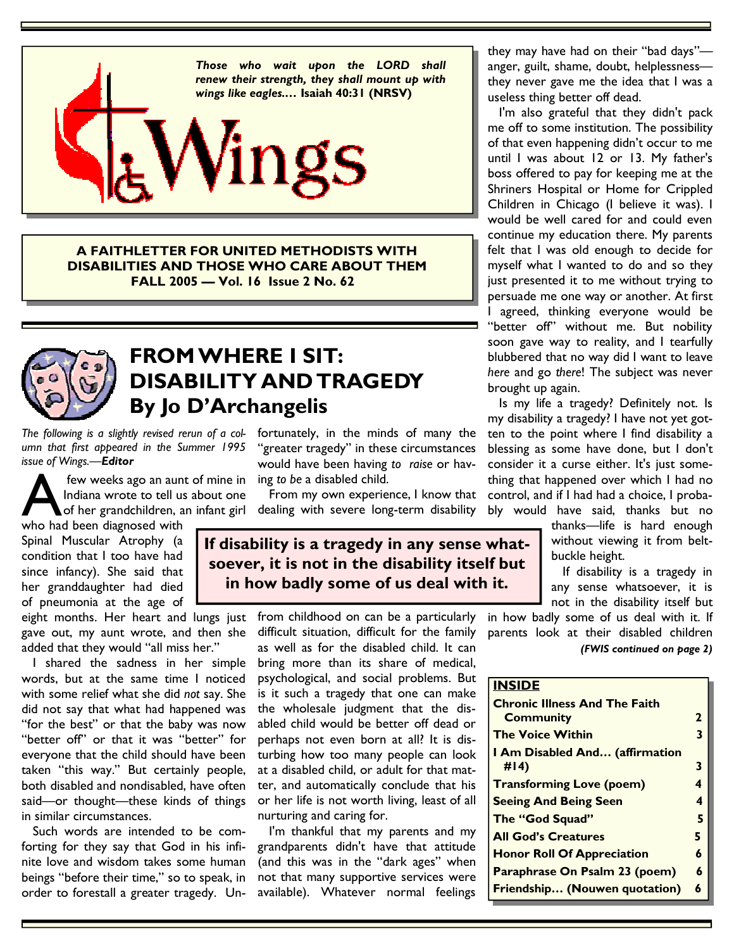

**A FAITHLETTER FOR UNITED METHODISTS WITH DISABILITIES AND THOSE WHO CARE ABOUT THEM FALL 2005 — Vol. 16 Issue 2 No. 62** 



## **FROM WHERE I SIT: DISABILITY AND TRAGEDY By Jo D'Archangelis**

*The following is a slightly revised rerun of a column that first appeared in the Summer 1995 issue of Wings.—Editor*

**A few weeks ago an aunt of mine in**<br>Indiana wrote to tell us about one<br>of her grandchildren, an infant girl<br>who had been diagnosed with Indiana wrote to tell us about one of her grandchildren, an infant girl

who had been diagnosed with Spinal Muscular Atrophy (a condition that I too have had since infancy). She said that her granddaughter had died of pneumonia at the age of

eight months. Her heart and lungs just gave out, my aunt wrote, and then she added that they would "all miss her."

 I shared the sadness in her simple words, but at the same time I noticed with some relief what she did *not* say. She did not say that what had happened was "for the best" or that the baby was now "better off" or that it was "better" for everyone that the child should have been taken "this way." But certainly people, both disabled and nondisabled, have often said—or thought—these kinds of things in similar circumstances.

 Such words are intended to be comforting for they say that God in his infinite love and wisdom takes some human beings "before their time," so to speak, in order to forestall a greater tragedy. Unfortunately, in the minds of many the "greater tragedy" in these circumstances would have been having *to raise* or having *to be* a disabled child.

 From my own experience, I know that dealing with severe long-term disability

### **If disability is a tragedy in any sense whatsoever, it is not in the disability itself but in how badly some of us deal with it.**

from childhood on can be a particularly difficult situation, difficult for the family as well as for the disabled child. It can bring more than its share of medical, psychological, and social problems. But is it such a tragedy that one can make the wholesale judgment that the disabled child would be better off dead or perhaps not even born at all? It is disturbing how too many people can look at a disabled child, or adult for that matter, and automatically conclude that his or her life is not worth living, least of all nurturing and caring for.

 I'm thankful that my parents and my grandparents didn't have that attitude (and this was in the "dark ages" when not that many supportive services were available). Whatever normal feelings

they may have had on their "bad days" anger, guilt, shame, doubt, helplessness they never gave me the idea that I was a useless thing better off dead.

 I'm also grateful that they didn't pack me off to some institution. The possibility of that even happening didn't occur to me until I was about 12 or 13. My father's boss offered to pay for keeping me at the Shriners Hospital or Home for Crippled Children in Chicago (I believe it was). I would be well cared for and could even continue my education there. My parents felt that I was old enough to decide for myself what I wanted to do and so they just presented it to me without trying to persuade me one way or another. At first I agreed, thinking everyone would be "better off" without me. But nobility soon gave way to reality, and I tearfully blubbered that no way did I want to leave *here* and go *there*! The subject was never brought up again.

 Is my life a tragedy? Definitely not. Is my disability a tragedy? I have not yet gotten to the point where I find disability a blessing as some have done, but I don't consider it a curse either. It's just something that happened over which I had no control, and if I had had a choice, I probably would have said, thanks but no

> thanks—life is hard enough without viewing it from beltbuckle height.

 If disability is a tragedy in any sense whatsoever, it is not in the disability itself but

in how badly some of us deal with it. If parents look at their disabled children *(FWIS continued on page 2)* 

### **INSIDE**

| <b>Chronic Illness And The Faith</b>  |    |
|---------------------------------------|----|
| <b>Community</b>                      | 2  |
| <b>The Voice Within</b>               | 3  |
| <b>I Am Disabled And (affirmation</b> |    |
| #14)                                  | 3  |
| <b>Transforming Love (poem)</b>       | 4  |
| <b>Seeing And Being Seen</b>          | 4  |
| The "God Squad"                       | 5  |
| <b>All God's Creatures</b>            | 5. |
| <b>Honor Roll Of Appreciation</b>     | 6  |
| Paraphrase On Psalm 23 (poem)         | 6  |
| Friendship (Nouwen quotation)         | 6  |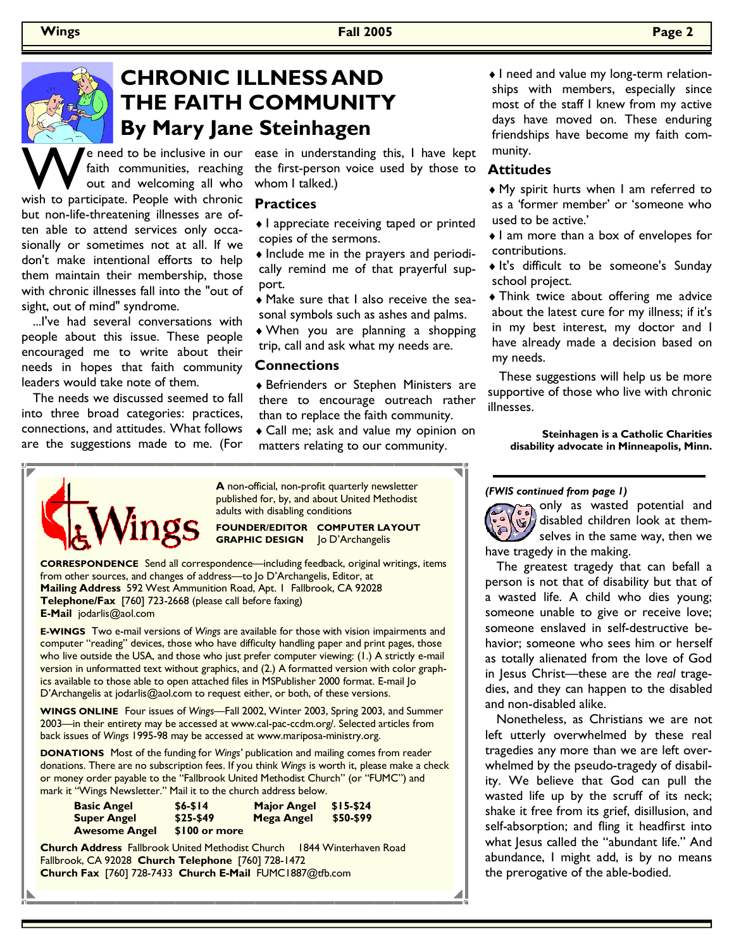

# **CHRONIC ILLNESS AND THE FAITH COMMUNITY By Mary Jane Steinhagen**

W e need to be inclusive in our<br>
faith communities, reaching<br>
wish to participate. People with chronic faith communities, reaching out and welcoming all who but non-life-threatening illnesses are often able to attend services only occasionally or sometimes not at all. If we don't make intentional efforts to help them maintain their membership, those with chronic illnesses fall into the "out of sight, out of mind" syndrome.

 ...I've had several conversations with people about this issue. These people encouraged me to write about their needs in hopes that faith community leaders would take note of them.

 The needs we discussed seemed to fall into three broad categories: practices, connections, and attitudes. What follows are the suggestions made to me. (For

e need to be inclusive in our ease in understanding this, I have kept the first-person voice used by those to whom I talked.)

### **Practices**

- ♦ I appreciate receiving taped or printed copies of the sermons.
- ♦ Include me in the prayers and periodically remind me of that prayerful support.
- ♦ Make sure that I also receive the seasonal symbols such as ashes and palms. ♦ When you are planning a shopping trip, call and ask what my needs are.

### **Connections**

- ♦ Befrienders or Stephen Ministers are there to encourage outreach rather than to replace the faith community.
- ♦ Call me; ask and value my opinion on matters relating to our community.

♦ I need and value my long-term relationships with members, especially since most of the staff I knew from my active days have moved on. These enduring friendships have become my faith community.

### **Attitudes**

- ♦ My spirit hurts when I am referred to as a 'former member' or 'someone who used to be active.'
- ♦ I am more than a box of envelopes for contributions.
- ♦ It's difficult to be someone's Sunday school project.
- ♦ Think twice about offering me advice about the latest cure for my illness; if it's in my best interest, my doctor and I have already made a decision based on my needs.

 These suggestions will help us be more supportive of those who live with chronic illnesses.

**Steinhagen is a Catholic Charities disability advocate in Minneapolis, Minn.**

**A** non-official, non-profit quarterly newsletter published for, by, and about United Methodist adults with disabling conditions

**FOUNDER/EDITOR COMPUTER LAYOUT GRAPHIC DESIGN** Jo D'Archangelis

**CORRESPONDENCE** Send all correspondence—including feedback, original writings, items from other sources, and changes of address—to Jo D'Archangelis, Editor, at **Mailing Address** 592 West Ammunition Road, Apt. 1 Fallbrook, CA 92028 **Telephone/Fax** [760] 723-2668 (please call before faxing) **E-Mail** jodarlis@aol.com

**E-WINGS** Two e-mail versions of *Wings* are available for those with vision impairments and computer "reading" devices, those who have difficulty handling paper and print pages, those who live outside the USA, and those who just prefer computer viewing: (1.) A strictly e-mail version in unformatted text without graphics, and (2.) A formatted version with color graphics available to those able to open attached files in MSPublisher 2000 format. E-mail Jo D'Archangelis at jodarlis@aol.com to request either, or both, of these versions.

**WINGS ONLINE** Four issues of *Wings—*Fall 2002, Winter 2003, Spring 2003, and Summer 2003—in their entirety may be accessed at www.cal-pac-ccdm.org/. Selected articles from back issues of *Wings* 1995-98 may be accessed at www.mariposa-ministry.org.

**DONATIONS** Most of the funding for *Wings'* publication and mailing comes from reader donations. There are no subscription fees. If you think *Wings* is worth it, please make a check or money order payable to the "Fallbrook United Methodist Church" (or "FUMC") and mark it "Wings Newsletter." Mail it to the church address below.

| <b>Basic Angel</b>   | $$6 - $14$    | <b>Major Angel</b> | $$15-$24$ |
|----------------------|---------------|--------------------|-----------|
| <b>Super Angel</b>   | $$25-$49$     | Mega Angel         | \$50-\$99 |
| <b>Awesome Angel</b> | \$100 or more |                    |           |

**Church Address** Fallbrook United Methodist Church 1844 Winterhaven Road Fallbrook, CA 92028 **Church Telephone** [760] 728-1472 **Church Fax** [760] 728-7433 **Church E-Mail** FUMC1887@tfb.com

*(FWIS continued from page 1)* 

only as wasted potential and disabled children look at themselves in the same way, then we have tragedy in the making.

 The greatest tragedy that can befall a person is not that of disability but that of a wasted life. A child who dies young; someone unable to give or receive love; someone enslaved in self-destructive behavior; someone who sees him or herself as totally alienated from the love of God in Jesus Christ—these are the *real* tragedies, and they can happen to the disabled and non-disabled alike.

 Nonetheless, as Christians we are not left utterly overwhelmed by these real tragedies any more than we are left overwhelmed by the pseudo-tragedy of disability. We believe that God can pull the wasted life up by the scruff of its neck; shake it free from its grief, disillusion, and self-absorption; and fling it headfirst into what Jesus called the "abundant life." And abundance, I might add, is by no means the prerogative of the able-bodied.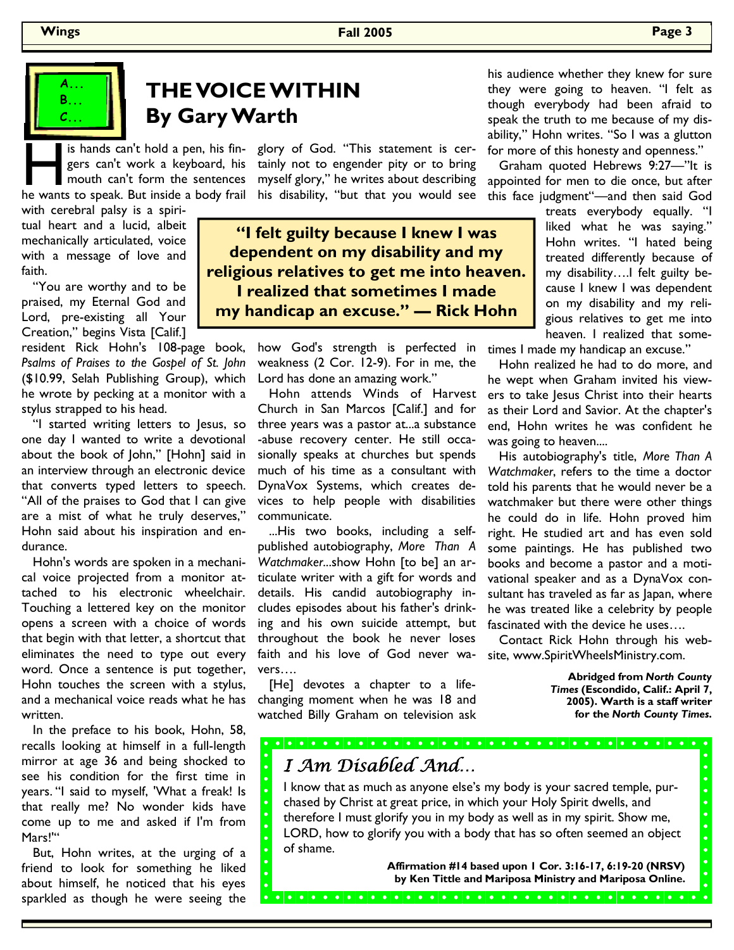### **Wings Fall 2005 Page 3**



## **THE VOICE WITHIN By Gary Warth**

gers can't work a keyboard, his mouth can't form the sentences

with cerebral palsy is a spiritual heart and a lucid, albeit mechanically articulated, voice with a message of love and faith.

 "You are worthy and to be praised, my Eternal God and Lord, pre-existing all Your Creation," begins Vista [Calif.]

resident Rick Hohn's 108-page book, *Psalms of Praises to the Gospel of St. John* (\$10.99, Selah Publishing Group), which he wrote by pecking at a monitor with a stylus strapped to his head.

 "I started writing letters to Jesus, so one day I wanted to write a devotional about the book of John," [Hohn] said in an interview through an electronic device that converts typed letters to speech. "All of the praises to God that I can give are a mist of what he truly deserves," Hohn said about his inspiration and endurance.

 Hohn's words are spoken in a mechanical voice projected from a monitor attached to his electronic wheelchair. Touching a lettered key on the monitor opens a screen with a choice of words that begin with that letter, a shortcut that eliminates the need to type out every word. Once a sentence is put together, Hohn touches the screen with a stylus, and a mechanical voice reads what he has written.

 In the preface to his book, Hohn, 58, recalls looking at himself in a full-length mirror at age 36 and being shocked to see his condition for the first time in years. "I said to myself, 'What a freak! Is that really me? No wonder kids have come up to me and asked if I'm from Mars!'"

 But, Hohn writes, at the urging of a friend to look for something he liked about himself, he noticed that his eyes sparkled as though he were seeing the

glory of God. "This statement is certainly not to engender pity or to bring myself glory," he writes about describing is hands can't hold a pen, his fin-<br>glory of God. "This statement is cer-<br>gers can't work a keyboard, his tainly not to engender pity or to bring<br>mouth can't form the sentences myself glory," he writes about describing<br>he

> **"I felt guilty because I knew I was dependent on my disability and my religious relatives to get me into heaven. I realized that sometimes I made my handicap an excuse." — Rick Hohn**

> > how God's strength is perfected in weakness (2 Cor. 12-9). For in me, the Lord has done an amazing work."

 Hohn attends Winds of Harvest Church in San Marcos [Calif.] and for three years was a pastor at...a substance -abuse recovery center. He still occasionally speaks at churches but spends much of his time as a consultant with DynaVox Systems, which creates devices to help people with disabilities communicate.

 ...His two books, including a selfpublished autobiography, *More Than A Watchmaker*...show Hohn [to be] an articulate writer with a gift for words and details. His candid autobiography includes episodes about his father's drinking and his own suicide attempt, but throughout the book he never loses faith and his love of God never wavers….

[He] devotes a chapter to a lifechanging moment when he was 18 and watched Billy Graham on television ask his audience whether they knew for sure they were going to heaven. "I felt as though everybody had been afraid to speak the truth to me because of my disability," Hohn writes. "So I was a glutton for more of this honesty and openness."

 Graham quoted Hebrews 9:27—"It is appointed for men to die once, but after this face judgment"—and then said God

> treats everybody equally. "I liked what he was saying." Hohn writes. "I hated being treated differently because of my disability….I felt guilty because I knew I was dependent on my disability and my religious relatives to get me into heaven. I realized that some-

times I made my handicap an excuse."

 Hohn realized he had to do more, and he wept when Graham invited his viewers to take Jesus Christ into their hearts as their Lord and Savior. At the chapter's end, Hohn writes he was confident he was going to heaven....

 His autobiography's title, *More Than A Watchmaker*, refers to the time a doctor told his parents that he would never be a watchmaker but there were other things he could do in life. Hohn proved him right. He studied art and has even sold some paintings. He has published two books and become a pastor and a motivational speaker and as a DynaVox consultant has traveled as far as Japan, where he was treated like a celebrity by people fascinated with the device he uses….

 Contact Rick Hohn through his website, www.SpiritWheelsMinistry.com.

> **Abridged from** *North County Times* **(Escondido, Calif.: April 7, 2005). Warth is a staff writer for the** *North County Times***.**

> > $\overline{\bullet}$

 $\overline{\bullet}$ 

## I Am Disabled And…

I know that as much as anyone else's my body is your sacred temple, purchased by Christ at great price, in which your Holy Spirit dwells, and therefore I must glorify you in my body as well as in my spirit. Show me, LORD, how to glorify you with a body that has so often seemed an object of shame.

**Affirmation #14 based upon 1 Cor. 3:16-17, 6:19-20 (NRSV) by Ken Tittle and Mariposa Ministry and Mariposa Online.**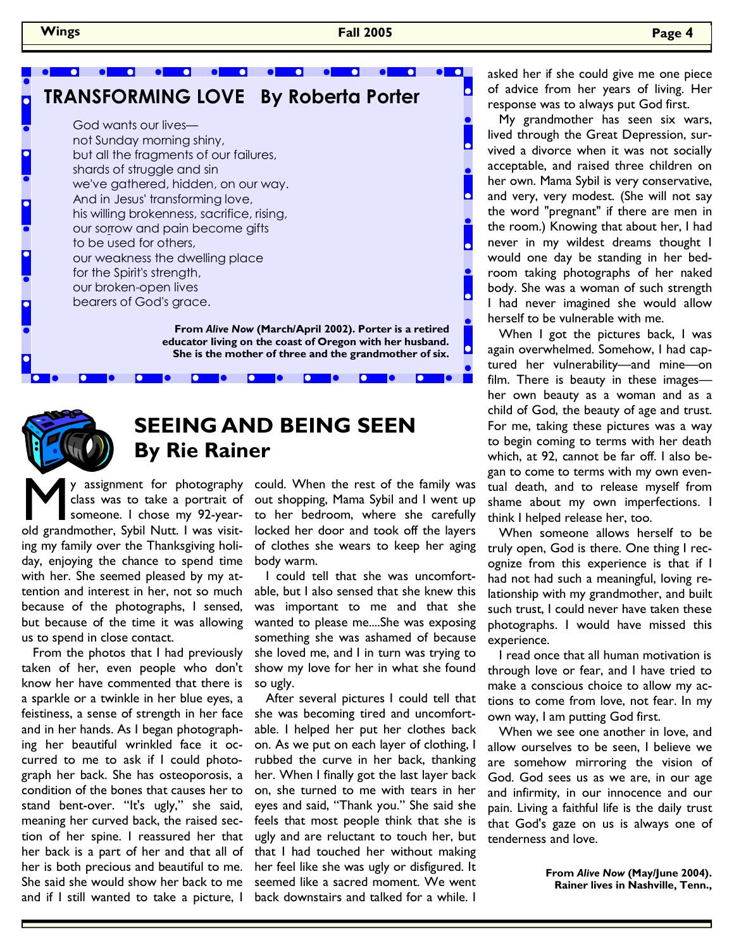$\bullet$ 

 My grandmother has seen six wars, lived through the Great Depression, survived a divorce when it was not socially acceptable, and raised three children on her own. Mama Sybil is very conservative, and very, very modest. (She will not say the word "pregnant" if there are men in the room.) Knowing that about her, I had never in my wildest dreams thought I would one day be standing in her bedroom taking photographs of her naked body. She was a woman of such strength I had never imagined she would allow herself to be vulnerable with me.

When I got the pictures back, I was again overwhelmed. Somehow, I had captured her vulnerability—and mine—on film. There is beauty in these images her own beauty as a woman and as a child of God, the beauty of age and trust. For me, taking these pictures was a way to begin coming to terms with her death which, at 92, cannot be far off. I also began to come to terms with my own eventual death, and to release myself from shame about my own imperfections. I think I helped release her, too.

 When someone allows herself to be truly open, God is there. One thing I recognize from this experience is that if I had not had such a meaningful, loving relationship with my grandmother, and built such trust, I could never have taken these photographs. I would have missed this experience.

 I read once that all human motivation is through love or fear, and I have tried to make a conscious choice to allow my actions to come from love, not fear. In my own way, I am putting God first.

 When we see one another in love, and allow ourselves to be seen, I believe we are somehow mirroring the vision of God. God sees us as we are, in our age and infirmity, in our innocence and our pain. Living a faithful life is the daily trust that God's gaze on us is always one of tenderness and love.

> **From** *Alive Now* **(May/June 2004). Rainer lives in Nashville, Tenn.,**

 $\bullet$   $\bullet$ **a** a el e  $\overline{\phantom{a}}$ **TRANSFORMING LOVE By Roberta Porter**  God wants our lives not Sunday morning shiny, but all the fragments of our failures, shards of struggle and sin we've gathered, hidden, on our way. And in Jesus' transforming love, his willing brokenness, sacrifice, rising, our sorrow and pain become gifts to be used for others, our weakness the dwelling place for the Spirit's strength, our broken-open lives

> **From** *Alive Now* **(March/April 2002). Porter is a retired educator living on the coast of Oregon with her husband. She is the mother of three and the grandmother of six.**

> > $\bullet$   $\bullet$



## **SEEING AND BEING SEEN By Rie Rainer**

 $\bullet$   $\bullet$ 

M y assignment for photography<br>class was to take a portrait of<br>someone. I chose my 92-year-<br>old grandmother, Sybil Nutt. I was visitclass was to take a portrait of someone. I chose my 92-yearing my family over the Thanksgiving holiday, enjoying the chance to spend time with her. She seemed pleased by my attention and interest in her, not so much because of the photographs, I sensed, but because of the time it was allowing us to spend in close contact.

bearers of God's grace.

 $\bullet$   $\bullet$ 

 $\bullet$   $\bullet$ 

 From the photos that I had previously taken of her, even people who don't know her have commented that there is a sparkle or a twinkle in her blue eyes, a feistiness, a sense of strength in her face and in her hands. As I began photographing her beautiful wrinkled face it occurred to me to ask if I could photograph her back. She has osteoporosis, a condition of the bones that causes her to stand bent-over. "It's ugly," she said, meaning her curved back, the raised section of her spine. I reassured her that her back is a part of her and that all of her is both precious and beautiful to me. She said she would show her back to me and if I still wanted to take a picture, I

could. When the rest of the family was out shopping, Mama Sybil and I went up to her bedroom, where she carefully locked her door and took off the layers of clothes she wears to keep her aging body warm.

 $\bullet$   $\bullet$ 

 I could tell that she was uncomfortable, but I also sensed that she knew this was important to me and that she wanted to please me....She was exposing something she was ashamed of because she loved me, and I in turn was trying to show my love for her in what she found so ugly.

 After several pictures I could tell that she was becoming tired and uncomfortable. I helped her put her clothes back on. As we put on each layer of clothing, I rubbed the curve in her back, thanking her. When I finally got the last layer back on, she turned to me with tears in her eyes and said, "Thank you." She said she feels that most people think that she is ugly and are reluctant to touch her, but that I had touched her without making her feel like she was ugly or disfigured. It seemed like a sacred moment. We went back downstairs and talked for a while. I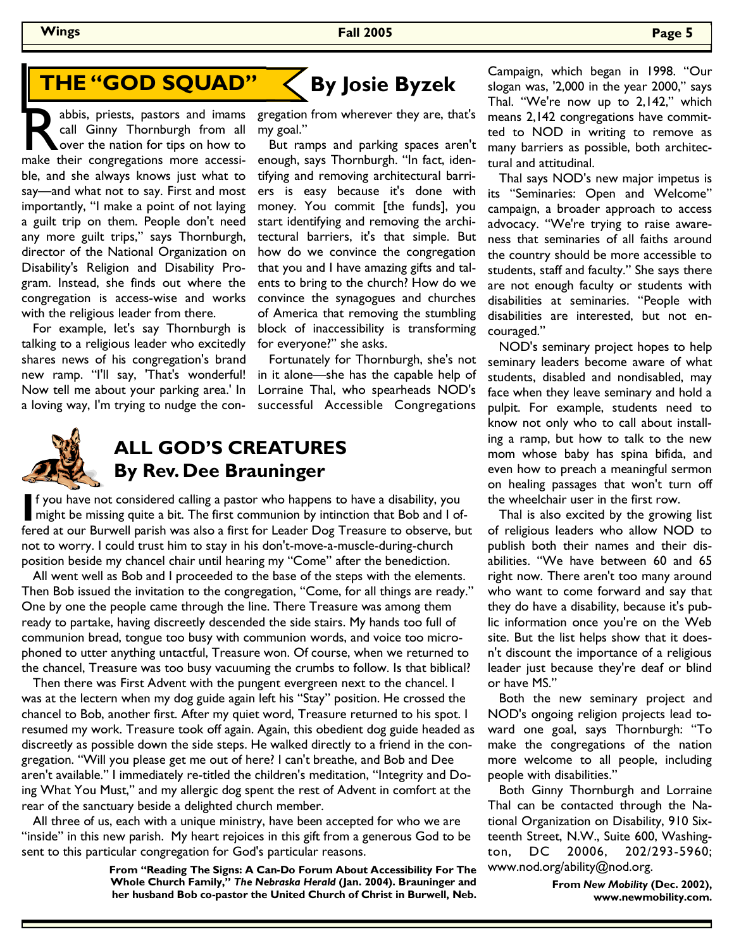# **THE "GOD SQUAD"**

abbis, priests, pastors and imams call Ginny Thornburgh from all over the nation for tips on how to make their congregations more accessicall Ginny Thornburgh from all over the nation for tips on how to ble, and she always knows just what to say—and what not to say. First and most importantly, "I make a point of not laying a guilt trip on them. People don't need any more guilt trips," says Thornburgh, director of the National Organization on Disability's Religion and Disability Program. Instead, she finds out where the congregation is access-wise and works with the religious leader from there.

 For example, let's say Thornburgh is talking to a religious leader who excitedly shares news of his congregation's brand new ramp. "I'll say, 'That's wonderful! Now tell me about your parking area.' In a loving way, I'm trying to nudge the con-



**By Josie Byzek** 

 But ramps and parking spaces aren't enough, says Thornburgh. "In fact, identifying and removing architectural barriers is easy because it's done with money. You commit [the funds], you start identifying and removing the architectural barriers, it's that simple. But how do we convince the congregation that you and I have amazing gifts and talents to bring to the church? How do we convince the synagogues and churches of America that removing the stumbling block of inaccessibility is transforming for everyone?" she asks.

 Fortunately for Thornburgh, she's not in it alone—she has the capable help of Lorraine Thal, who spearheads NOD's successful Accessible Congregations



## **ALL GOD'S CREATURES By Rev. Dee Brauninger**

If you have not considered calling a pastor who happens to have a disability, you<br>might be missing quite a bit. The first communion by intinction that Bob and I of-<br>fared at our Burnual parish was also a first fan Loodar D fered at our Burwell parish was also a first for Leader Dog Treasure to observe, but not to worry. I could trust him to stay in his don't-move-a-muscle-during-church position beside my chancel chair until hearing my "Come" after the benediction.

 All went well as Bob and I proceeded to the base of the steps with the elements. Then Bob issued the invitation to the congregation, "Come, for all things are ready." One by one the people came through the line. There Treasure was among them ready to partake, having discreetly descended the side stairs. My hands too full of communion bread, tongue too busy with communion words, and voice too microphoned to utter anything untactful, Treasure won. Of course, when we returned to the chancel, Treasure was too busy vacuuming the crumbs to follow. Is that biblical?

 Then there was First Advent with the pungent evergreen next to the chancel. I was at the lectern when my dog guide again left his "Stay" position. He crossed the chancel to Bob, another first. After my quiet word, Treasure returned to his spot. I resumed my work. Treasure took off again. Again, this obedient dog guide headed as discreetly as possible down the side steps. He walked directly to a friend in the congregation. "Will you please get me out of here? I can't breathe, and Bob and Dee aren't available." I immediately re-titled the children's meditation, "Integrity and Doing What You Must," and my allergic dog spent the rest of Advent in comfort at the rear of the sanctuary beside a delighted church member.

 All three of us, each with a unique ministry, have been accepted for who we are "inside" in this new parish. My heart rejoices in this gift from a generous God to be sent to this particular congregation for God's particular reasons.

> **From "Reading The Signs: A Can-Do Forum About Accessibility For The Whole Church Family,"** *The Nebraska Herald* **(Jan. 2004). Brauninger and her husband Bob co-pastor the United Church of Christ in Burwell, Neb.**

Campaign, which began in 1998. "Our slogan was, '2,000 in the year 2000," says Thal. "We're now up to 2,142," which means 2,142 congregations have committed to NOD in writing to remove as many barriers as possible, both architectural and attitudinal.

 Thal says NOD's new major impetus is its "Seminaries: Open and Welcome" campaign, a broader approach to access advocacy. "We're trying to raise awareness that seminaries of all faiths around the country should be more accessible to students, staff and faculty." She says there are not enough faculty or students with disabilities at seminaries. "People with disabilities are interested, but not encouraged."

 NOD's seminary project hopes to help seminary leaders become aware of what students, disabled and nondisabled, may face when they leave seminary and hold a pulpit. For example, students need to know not only who to call about installing a ramp, but how to talk to the new mom whose baby has spina bifida, and even how to preach a meaningful sermon on healing passages that won't turn off the wheelchair user in the first row.

 Thal is also excited by the growing list of religious leaders who allow NOD to publish both their names and their disabilities. "We have between 60 and 65 right now. There aren't too many around who want to come forward and say that they do have a disability, because it's public information once you're on the Web site. But the list helps show that it doesn't discount the importance of a religious leader just because they're deaf or blind or have MS."

 Both the new seminary project and NOD's ongoing religion projects lead toward one goal, says Thornburgh: "To make the congregations of the nation more welcome to all people, including people with disabilities."

 Both Ginny Thornburgh and Lorraine Thal can be contacted through the National Organization on Disability, 910 Sixteenth Street, N.W., Suite 600, Washington, DC 20006, 202/293-5960; www.nod.org/ability@nod.org.

> **From** *New Mobility* **(Dec. 2002), www.newmobility.com.**